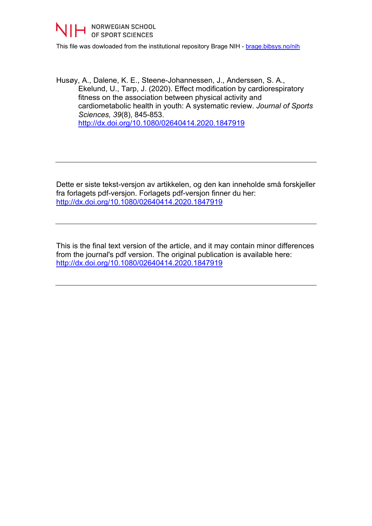

This file was dowloaded from the institutional repository Brage NIH - [brage.bibsys.no/nih](http://brage.bibsys.no/nih)

Husøy, A., Dalene, K. E., Steene-Johannessen, J., Anderssen, S. A., Ekelund, U., Tarp, J. (2020). Effect modification by cardiorespiratory fitness on the association between physical activity and cardiometabolic health in youth: A systematic review. *Journal of Sports Sciences, 39*(8), 845-853. <http://dx.doi.org/10.1080/02640414.2020.1847919>

Dette er siste tekst-versjon av artikkelen, og den kan inneholde små forskjeller fra forlagets pdf-versjon. Forlagets pdf-versjon finner du her: <http://dx.doi.org/10.1080/02640414.2020.1847919>

This is the final text version of the article, and it may contain minor differences from the journal's pdf version. The original publication is available here: <http://dx.doi.org/10.1080/02640414.2020.1847919>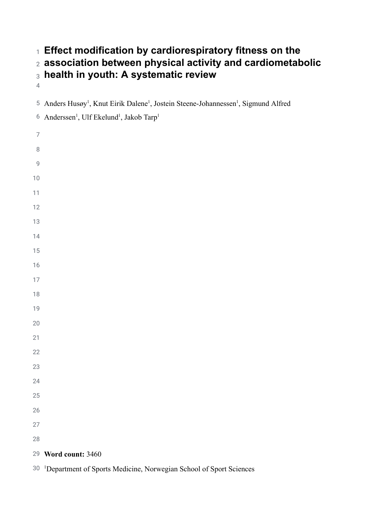# **Effect modification by cardiorespiratory fitness on the association between physical activity and cardiometabolic health in youth: A systematic review**

<sup>5</sup> Anders Husøy<sup>1</sup>, Knut Eirik Dalene<sup>1</sup>, Jostein Steene-Johannessen<sup>1</sup>, Sigmund Alfred

<sup>6</sup> Anderssen<sup>1</sup>, Ulf Ekelund<sup>1</sup>, Jakob Tarp<sup>1</sup>

**Word count:** 3460

1Department of Sports Medicine, Norwegian School of Sport Sciences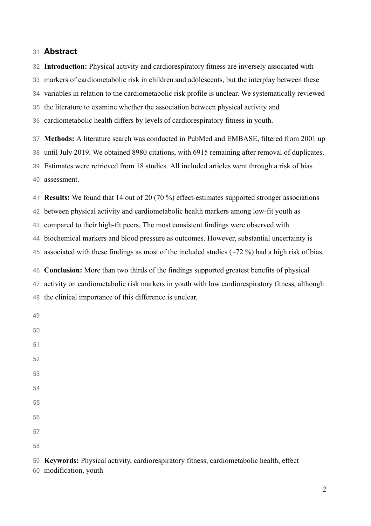### 31 **Abstract**

32 33 34 35 36 **Introduction:** Physical activity and cardiorespiratory fitness are inversely associated with markers of cardiometabolic risk in children and adolescents, but the interplay between these variables in relation to the cardiometabolic risk profile is unclear. We systematically reviewed the literature to examine whether the association between physical activity and cardiometabolic health differs by levels of cardiorespiratory fitness in youth.

37 38 39 40 **Methods:** A literature search was conducted in PubMed and EMBASE, filtered from 2001 up until July 2019. We obtained 8980 citations, with 6915 remaining after removal of duplicates. Estimates were retrieved from 18 studies. All included articles went through a risk of bias assessment.

41 42 43 44 45 46 **Results:** We found that 14 out of 20 (70 %) effect-estimates supported stronger associations between physical activity and cardiometabolic health markers among low-fit youth as compared to their high-fit peers. The most consistent findings were observed with biochemical markers and blood pressure as outcomes. However, substantial uncertainty is associated with these findings as most of the included studies (~72 %) had a high risk of bias. **Conclusion:** More than two thirds of the findings supported greatest benefits of physical

47 48 activity on cardiometabolic risk markers in youth with low cardiorespiratory fitness, although the clinical importance of this difference is unclear.

49

59 **Keywords:** Physical activity, cardiorespiratory fitness, cardiometabolic health, effect

60 modification, youth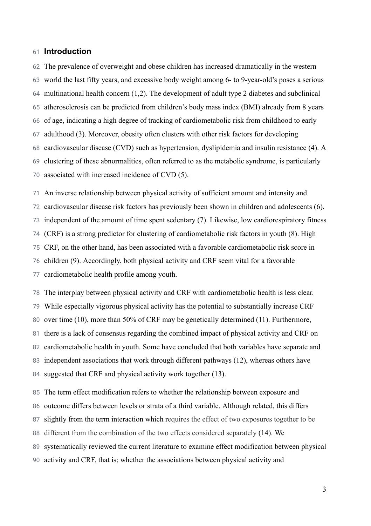#### 61 **Introduction**

62 63 64 65 66 67 68 69 70 The prevalence of overweight and obese children has increased dramatically in the western world the last fifty years, and excessive body weight among 6- to 9-year-old's poses a serious multinational health concern [\(1,2\) .](https://paperpile.com/c/z4FX7G/S04Q+YBwy) The development of adult type 2 diabetes and subclinical atherosclerosis can be predicted from children's body mass index (BMI) already from 8 years of age, indicating a high degree of tracking of cardiometabolic risk from childhood to early adulthood (3). Moreover, obesity often clusters with other risk factors for developing cardiovascular disease (CVD) such as hypertension, dyslipidemia and insulin resistance [\(4\) .](https://paperpile.com/c/z4FX7G/TCmq) A clustering of these abnormalities, often referred to as the metabolic syndrome, is particularly associated with increased incidence of CVD [\(5\) .](https://paperpile.com/c/z4FX7G/AP5l)

71 72 73 74 75 76 77 An inverse relationship between physical activity of sufficient amount and intensity and cardiovascular disease risk factors has previously been shown in children and adolescents (6), independent of the amount of time spent sedentary [\(7\)](https://paperpile.com/c/z4FX7G/HNBF) . Likewise, low cardiorespiratory fitness (CRF) is a strong predictor for clustering of cardiometabolic risk factors in youth [\(8\) .](https://paperpile.com/c/z4FX7G/ynvN) High CRF, on the other hand, has been associated with a favorable cardiometabolic risk score in children [\(9\)](https://paperpile.com/c/z4FX7G/ftgS) . Accordingly, both physical activity and CRF seem vital for a favorable cardiometabolic health profile among youth.

78 79 80 81 82 83 84 The interplay between physical activity and CRF with cardiometabolic health is less clear. While especially vigorous physical activity has the potential to substantially increase CRF over time [\(10\)](https://paperpile.com/c/z4FX7G/aTkV), more than 50% of CRF may be genetically determined [\(11\)](https://paperpile.com/c/z4FX7G/JRGh). Furthermore, there is a lack of consensus regarding the combined impact of physical activity and CRF on cardiometabolic health in youth. Some have concluded that both variables have separate and independent associations that work through different pathways [\(12\)](https://paperpile.com/c/z4FX7G/IFVL), whereas others have suggested that CRF and physical activity work together [\(13\) .](https://paperpile.com/c/z4FX7G/NnGd)

85 86 87 88 89 90 The term effect modification refers to whether the relationship between exposure and outcome differs between levels or strata of a third variable. Although related, this differs slightly from the term interaction which requires the effect of two exposures together to be different from the combination of the two effects considered separately [\(14\) .](https://paperpile.com/c/z4FX7G/34Yr) We systematically reviewed the current literature to examine effect modification between physical activity and CRF, that is; whether the associations between physical activity and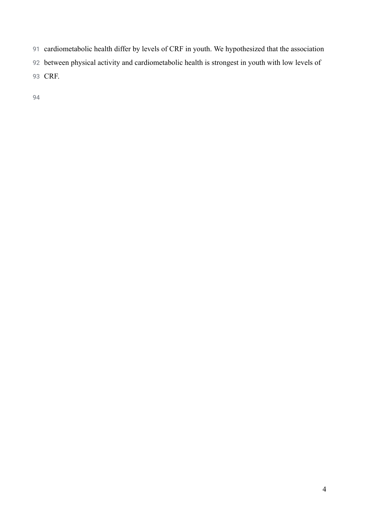- cardiometabolic health differ by levels of CRF in youth. We hypothesized that the association
- between physical activity and cardiometabolic health is strongest in youth with low levels of
- CRF.
-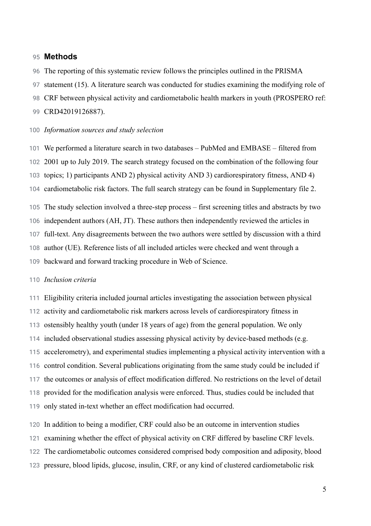#### 95 **Methods**

- 96 The reporting of this systematic review follows the principles outlined in the PRISMA
- 97 statement [\(15\)](https://paperpile.com/c/z4FX7G/FXi0) . A literature search was conducted for studies examining the modifying role of
- 98 CRF between physical activity and cardiometabolic health markers in youth (PROSPERO ref:

#### 99 CRD42019126887).

### 100 *Information sources and study selection*

101 102 103 104 105 106 107 108 We performed a literature search in two databases – PubMed and EMBASE – filtered from 2001 up to July 2019. The search strategy focused on the combination of the following four topics; 1) participants AND 2) physical activity AND 3) cardiorespiratory fitness, AND 4) cardiometabolic risk factors. The full search strategy can be found in Supplementary file 2. The study selection involved a three-step process – first screening titles and abstracts by two independent authors (AH, JT). These authors then independently reviewed the articles in full-text. Any disagreements between the two authors were settled by discussion with a third author (UE). Reference lists of all included articles were checked and went through a

109 backward and forward tracking procedure in Web of Science.

#### 110 *Inclusion criteria*

111 112 113 114 115 116 117 118 119 Eligibility criteria included journal articles investigating the association between physical activity and cardiometabolic risk markers across levels of cardiorespiratory fitness in ostensibly healthy youth (under 18 years of age) from the general population. We only included observational studies assessing physical activity by device-based methods (e.g. accelerometry), and experimental studies implementing a physical activity intervention with a control condition. Several publications originating from the same study could be included if the outcomes or analysis of effect modification differed. No restrictions on the level of detail provided for the modification analysis were enforced. Thus, studies could be included that only stated in-text whether an effect modification had occurred.

120 In addition to being a modifier, CRF could also be an outcome in intervention studies

- 121 examining whether the effect of physical activity on CRF differed by baseline CRF levels.
- 122 The cardiometabolic outcomes considered comprised body composition and adiposity, blood
- 123 pressure, blood lipids, glucose, insulin, CRF, or any kind of clustered cardiometabolic risk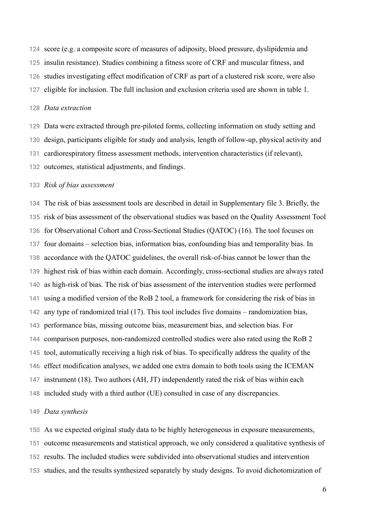124 125 126 127 score (e.g. a composite score of measures of adiposity, blood pressure, dyslipidemia and insulin resistance). Studies combining a fitness score of CRF and muscular fitness, and studies investigating effect modification of CRF as part of a clustered risk score, were also eligible for inclusion. The full inclusion and exclusion criteria used are shown in table 1.

#### 128 *Data extraction*

129 130 131 132 Data were extracted through pre-piloted forms, collecting information on study setting and design, participants eligible for study and analysis, length of follow-up, physical activity and cardiorespiratory fitness assessment methods, intervention characteristics (if relevant), outcomes, statistical adjustments, and findings.

#### 133 *Risk of bias assessment*

134 135 136 137 138 139 140 141 142 143 144 145 146 147 148 The risk of bias assessment tools are described in detail in Supplementary file 3. Briefly, the risk of bias assessment of the observational studies was based on the Quality Assessment Tool for Observational Cohort and Cross-Sectional Studies (QATOC) [\(16\)](https://paperpile.com/c/z4FX7G/ZP8f) . The tool focuses on four domains – selection bias, information bias, confounding bias and temporality bias. In accordance with the QATOC guidelines, the overall risk-of-bias cannot be lower than the highest risk of bias within each domain. Accordingly, cross-sectional studies are always rated as high-risk of bias. The risk of bias assessment of the intervention studies were performed using a modified version of the RoB 2 tool, a framework for considering the risk of bias in any type of randomized trial [\(17\)](https://paperpile.com/c/z4FX7G/LCnC) . This tool includes five domains – randomization bias, performance bias, missing outcome bias, measurement bias, and selection bias. For comparison purposes, non-randomized controlled studies were also rated using the RoB 2 tool, automatically receiving a high risk of bias. To specifically address the quality of the effect modification analyses, we added one extra domain to both tools using the ICEMAN instrument [\(18\)](https://paperpile.com/c/z4FX7G/IEBp). Two authors (AH, JT) independently rated the risk of bias within each included study with a third author (UE) consulted in case of any discrepancies.

### 149 *Data synthesis*

150 151 152 153 As we expected original study data to be highly heterogeneous in exposure measurements, outcome measurements and statistical approach, we only considered a qualitative synthesis of results. The included studies were subdivided into observational studies and intervention studies, and the results synthesized separately by study designs. To avoid dichotomization of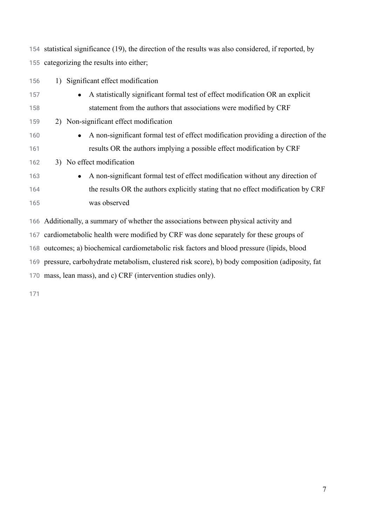statistical significance [\(19\) ,](https://paperpile.com/c/z4FX7G/EMBE) the direction of the results was also considered, if reported, by categorizing the results into either;

| 156 | 1) Significant effect modification                                                             |
|-----|------------------------------------------------------------------------------------------------|
| 157 | A statistically significant formal test of effect modification OR an explicit<br>$\bullet$     |
| 158 | statement from the authors that associations were modified by CRF                              |
| 159 | 2) Non-significant effect modification                                                         |
| 160 | A non-significant formal test of effect modification providing a direction of the<br>$\bullet$ |
| 161 | results OR the authors implying a possible effect modification by CRF                          |
| 162 | 3) No effect modification                                                                      |
| 163 | A non-significant formal test of effect modification without any direction of<br>$\bullet$     |
| 164 | the results OR the authors explicitly stating that no effect modification by CRF               |
| 165 | was observed                                                                                   |
|     | 166 Additionally, a summary of whether the associations between physical activity and          |
|     | 167 cardiometabolic health were modified by CRF was done separately for these groups of        |

outcomes; a) biochemical cardiometabolic risk factors and blood pressure (lipids, blood

pressure, carbohydrate metabolism, clustered risk score), b) body composition (adiposity, fat

mass, lean mass), and c) CRF (intervention studies only).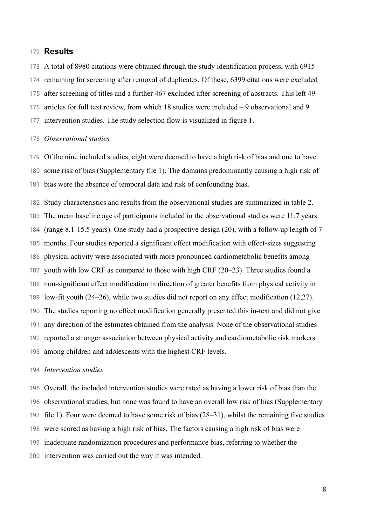## 172 **Results**

173 174 175 176 177 A total of 8980 citations were obtained through the study identification process, with 6915 remaining for screening after removal of duplicates. Of these, 6399 citations were excluded after screening of titles and a further 467 excluded after screening of abstracts. This left 49 articles for full text review, from which 18 studies were included – 9 observational and 9 intervention studies. The study selection flow is visualized in figure 1.

#### 178 *Observational studies*

179 180 181 Of the nine included studies, eight were deemed to have a high risk of bias and one to have some risk of bias (Supplementary file 1). The domains predominantly causing a high risk of bias were the absence of temporal data and risk of confounding bias.

182 183 184 185 186 187 188 189 190 191 192 193 Study characteristics and results from the observational studies are summarized in table 2. The mean baseline age of participants included in the observational studies were 11.7 years (range 8.1-15.5 years). One study had a prospective design  $(20)$ , with a follow-up length of 7 months. Four studies reported a significant effect modification with effect-sizes suggesting physical activity were associated with more pronounced cardiometabolic benefits among youth with low CRF as compared to those with high CRF [\(20–23\)](https://paperpile.com/c/z4FX7G/Bvhe+CXlZ+qBwD+digf) . Three studies found a non-significant effect modification in direction of greater benefits from physical activity in low-fit youth (24–26), while two studies did not report on any effect modification (12,27). The studies reporting no effect modification generally presented this in-text and did not give any direction of the estimates obtained from the analysis. None of the observational studies reported a stronger association between physical activity and cardiometabolic risk markers among children and adolescents with the highest CRF levels.

#### 194 *Intervention studies*

195 196 197 198 199 200 Overall, the included intervention studies were rated as having a lower risk of bias than the observational studies, but none was found to have an overall low risk of bias (Supplementary file 1). Four were deemed to have some risk of bias [\(28–31\)](https://paperpile.com/c/z4FX7G/mX3o+YLWT+N5bp+gJAG), whilst the remaining five studies were scored as having a high risk of bias. The factors causing a high risk of bias were inadequate randomization procedures and performance bias, referring to whether the intervention was carried out the way it was intended.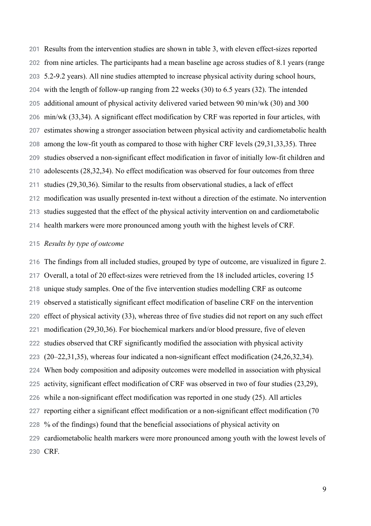201 202 203 204 205 206 207 208 209 210 211 212 213 214 Results from the intervention studies are shown in table 3, with eleven effect-sizes reported from nine articles. The participants had a mean baseline age across studies of 8.1 years (range 5.2-9.2 years). All nine studies attempted to increase physical activity during school hours, with the length of follow-up ranging from 22 weeks [\(30\)](https://paperpile.com/c/z4FX7G/N5bp) to 6.5 years [\(32\)](https://paperpile.com/c/z4FX7G/BVqO). The intended additional amount of physical activity delivered varied between 90 min/wk [\(30\)](https://paperpile.com/c/z4FX7G/N5bp) and 300 min/wk [\(33,34\)](https://paperpile.com/c/z4FX7G/gl34+YlVB) . A significant effect modification by CRF was reported in four articles, with estimates showing a stronger association between physical activity and cardiometabolic health among the low-fit youth as compared to those with higher CRF levels [\(29,31,33,35\) .](https://paperpile.com/c/z4FX7G/6vry+gl34+YLWT+gJAG) Three studies observed a non-significant effect modification in favor of initially low-fit children and adolescents [\(28,32,34\) .](https://paperpile.com/c/z4FX7G/BVqO+YlVB+mX3o) No effect modification was observed for four outcomes from three studies [\(29,30,36\)](https://paperpile.com/c/z4FX7G/N5bp+2dR2+YLWT) . Similar to the results from observational studies, a lack of effect modification was usually presented in-text without a direction of the estimate. No intervention studies suggested that the effect of the physical activity intervention on and cardiometabolic health markers were more pronounced among youth with the highest levels of CRF.

## 215 *Results by type of outcome*

216 217 218 219 220 221 222 223 224 225 226 227 228 229 230 CRF. The findings from all included studies, grouped by type of outcome, are visualized in figure 2. Overall, a total of 20 effect-sizes were retrieved from the 18 included articles, covering 15 unique study samples. One of the five intervention studies modelling CRF as outcome observed a statistically significant effect modification of baseline CRF on the intervention effect of physical activity [\(33\) ,](https://paperpile.com/c/z4FX7G/gl34) whereas three of five studies did not report on any such effect modification [\(29,30,36\) .](https://paperpile.com/c/z4FX7G/N5bp+YLWT+2dR2) For biochemical markers and/or blood pressure, five of eleven studies observed that CRF significantly modified the association with physical activity [\(20–22,31,35\) ,](https://paperpile.com/c/z4FX7G/6vry+gJAG+CXlZ+Bvhe+digf) whereas four indicated a non-significant effect modification [\(24,26,32,34\)](https://paperpile.com/c/z4FX7G/BVqO+YlVB+B164+KSMZ) . When body composition and adiposity outcomes were modelled in association with physical activity, significant effect modification of CRF was observed in two of four studies (23,29), while a non-significant effect modification was reported in one study (25). All articles reporting either a significant effect modification or a non-significant effect modification (70 % of the findings) found that the beneficial associations of physical activity on cardiometabolic health markers were more pronounced among youth with the lowest levels of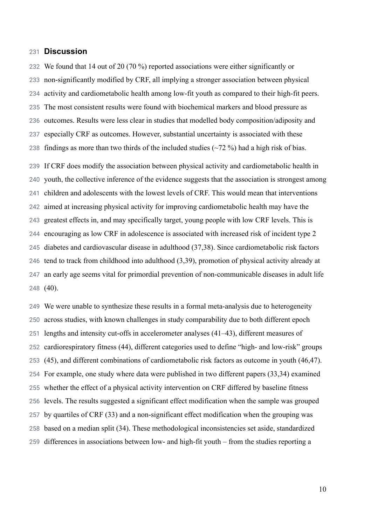#### 231 **Discussion**

232 233 234 235 236 237 238 239 240 We found that 14 out of 20 (70 %) reported associations were either significantly or non-significantly modified by CRF, all implying a stronger association between physical activity and cardiometabolic health among low-fit youth as compared to their high-fit peers. The most consistent results were found with biochemical markers and blood pressure as outcomes. Results were less clear in studies that modelled body composition/adiposity and especially CRF as outcomes. However, substantial uncertainty is associated with these findings as more than two thirds of the included studies  $(\sim 72 \%)$  had a high risk of bias. If CRF does modify the association between physical activity and cardiometabolic health in youth, the collective inference of the evidence suggests that the association is strongest among

241 242 243 244 245 246 247 248 children and adolescents with the lowest levels of CRF. This would mean that interventions aimed at increasing physical activity for improving cardiometabolic health may have the greatest effects in, and may specifically target, young people with low CRF levels. This is encouraging as low CRF in adolescence is associated with increased risk of incident type 2 diabetes and cardiovascular disease in adulthood [\(37,38\)](https://paperpile.com/c/z4FX7G/tMMw+y5py) . Since cardiometabolic risk factors tend to track from childhood into adulthood [\(3,39\)](https://paperpile.com/c/z4FX7G/g40R+8aqZ) , promotion of physical activity already at an early age seems vital for primordial prevention of non-communicable diseases in adult life  $(40)$ .

249 250 251 252 253 254 255 256 257 258 259 We were unable to synthesize these results in a formal meta-analysis due to heterogeneity across studies, with known challenges in study comparability due to both different epoch lengths and intensity cut-offs in accelerometer analyses [\(41–43\)](https://paperpile.com/c/z4FX7G/n36Y+2mYe+sVr9) , different measures of cardiorespiratory fitness [\(44\) ,](https://paperpile.com/c/z4FX7G/aJty) different categories used to define "high- and low-risk" groups (45), and different combinations of cardiometabolic risk factors as outcome in youth [\(46,47\)](https://paperpile.com/c/z4FX7G/0aI9+UZ6R). For example, one study where data were published in two different papers [\(33,34\)](https://paperpile.com/c/z4FX7G/gl34+YlVB) examined whether the effect of a physical activity intervention on CRF differed by baseline fitness levels. The results suggested a significant effect modification when the sample was grouped by quartiles of CRF [\(33\)](https://paperpile.com/c/z4FX7G/gl34) and a non-significant effect modification when the grouping was based on a median split [\(34\)](https://paperpile.com/c/z4FX7G/YlVB) . These methodological inconsistencies set aside, standardized differences in associations between low- and high-fit youth – from the studies reporting a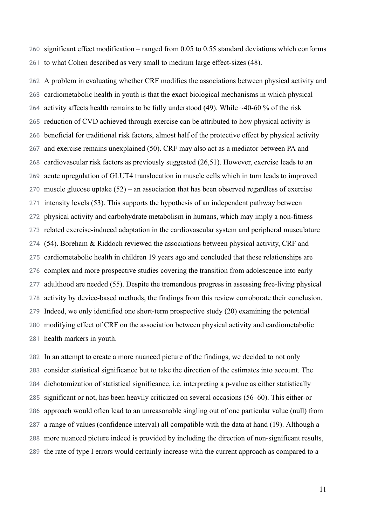260 261 significant effect modification – ranged from 0.05 to 0.55 standard deviations which conforms to what Cohen described as very small to medium large effect-sizes [\(48\)](https://paperpile.com/c/z4FX7G/byN8) .

262 263 264 265 266 267 268 269 270 271 272 273 274 275 276 277 278 279 280 281 A problem in evaluating whether CRF modifies the associations between physical activity and cardiometabolic health in youth is that the exact biological mechanisms in which physical activity affects health remains to be fully understood  $(49)$ . While ~40-60 % of the risk reduction of CVD achieved through exercise can be attributed to how physical activity is beneficial for traditional risk factors, almost half of the protective effect by physical activity and exercise remains unexplained [\(50\) .](https://paperpile.com/c/z4FX7G/eto5) CRF may also act as a mediator between PA and cardiovascular risk factors as previously suggested [\(26,51\)](https://paperpile.com/c/z4FX7G/aa3k+B164) . However, exercise leads to an acute upregulation of GLUT4 translocation in muscle cells which in turn leads to improved muscle glucose uptake  $(52)$  – an association that has been observed regardless of exercise intensity levels [\(53\)](https://paperpile.com/c/z4FX7G/oNJM) . This supports the hypothesis of an independent pathway between physical activity and carbohydrate metabolism in humans, which may imply a non-fitness related exercise-induced adaptation in the cardiovascular system and peripheral musculature [\(54\) .](https://paperpile.com/c/z4FX7G/PHAG) Boreham & Riddoch reviewed the associations between physical activity, CRF and cardiometabolic health in children 19 years ago and concluded that these relationships are complex and more prospective studies covering the transition from adolescence into early adulthood are needed [\(55\)](https://paperpile.com/c/z4FX7G/2Weh) . Despite the tremendous progress in assessing free-living physical activity by device-based methods, the findings from this review corroborate their conclusion. Indeed, we only identified one short-term prospective study [\(20\)](https://paperpile.com/c/z4FX7G/digf) examining the potential modifying effect of CRF on the association between physical activity and cardiometabolic health markers in youth.

282 283 284 285 286 287 288 289 In an attempt to create a more nuanced picture of the findings, we decided to not only consider statistical significance but to take the direction of the estimates into account. The dichotomization of statistical significance, i.e. interpreting a p-value as either statistically significant or not, has been heavily criticized on several occasions (56–60). This either-or approach would often lead to an unreasonable singling out of one particular value (null) from a range of values (confidence interval) all compatible with the data at hand [\(19\) .](https://paperpile.com/c/z4FX7G/EMBE) Although a more nuanced picture indeed is provided by including the direction of non-significant results, the rate of type I errors would certainly increase with the current approach as compared to a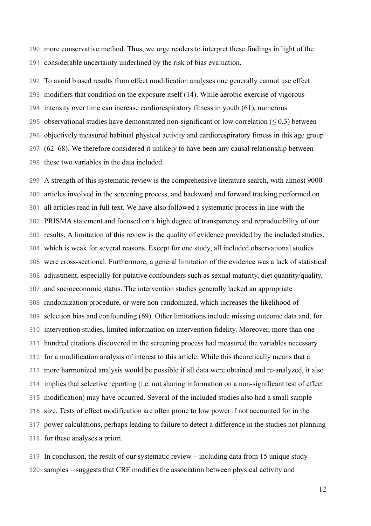290 291 more conservative method. Thus, we urge readers to interpret these findings in light of the considerable uncertainty underlined by the risk of bias evaluation.

292 293 294 295 296 297 298 To avoid biased results from effect modification analyses one generally cannot use effect modifiers that condition on the exposure itself [\(14\) .](https://paperpile.com/c/z4FX7G/34Yr) While aerobic exercise of vigorous intensity over time can increase cardiorespiratory fitness in youth [\(61\) ,](https://paperpile.com/c/z4FX7G/NLCD) numerous observational studies have demonstrated non-significant or low correlation  $( \leq 0.3)$  between objectively measured habitual physical activity and cardiorespiratory fitness in this age group [\(62–68\) .](https://paperpile.com/c/z4FX7G/fJJa+ohbH+yZJn+4UDy+ivlG+u4dC+fcRq) We therefore considered it unlikely to have been any causal relationship between these two variables in the data included.

299 300 301 302 303 304 305 306 307 308 309 310 311 312 313 314 315 316 317 318 A strength of this systematic review is the comprehensive literature search, with almost 9000 articles involved in the screening process, and backward and forward tracking performed on all articles read in full text. We have also followed a systematic process in line with the PRISMA statement and focused on a high degree of transparency and reproducibility of our results. A limitation of this review is the quality of evidence provided by the included studies, which is weak for several reasons. Except for one study, all included observational studies were cross-sectional. Furthermore, a general limitation of the evidence was a lack of statistical adjustment, especially for putative confounders such as sexual maturity, diet quantity/quality, and socioeconomic status. The intervention studies generally lacked an appropriate randomization procedure, or were non-randomized, which increases the likelihood of selection bias and confounding [\(69\) .](https://paperpile.com/c/z4FX7G/tHMr) Other limitations include missing outcome data and, for intervention studies, limited information on intervention fidelity. Moreover, more than one hundred citations discovered in the screening process had measured the variables necessary for a modification analysis of interest to this article. While this theoretically means that a more harmonized analysis would be possible if all data were obtained and re-analyzed, it also implies that selective reporting (i.e. not sharing information on a non-significant test of effect modification) may have occurred. Several of the included studies also had a small sample size. Tests of effect modification are often prone to low power if not accounted for in the power calculations, perhaps leading to failure to detect a difference in the studies not planning for these analyses a priori.

319 320 In conclusion, the result of our systematic review – including data from 15 unique study samples – suggests that CRF modifies the association between physical activity and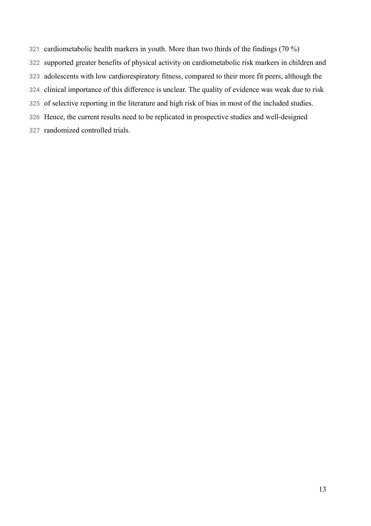- cardiometabolic health markers in youth. More than two thirds of the findings (70 %)
- supported greater benefits of physical activity on cardiometabolic risk markers in children and
- adolescents with low cardiorespiratory fitness, compared to their more fit peers, although the
- clinical importance of this difference is unclear. The quality of evidence was weak due to risk
- of selective reporting in the literature and high risk of bias in most of the included studies.
- Hence, the current results need to be replicated in prospective studies and well-designed
- randomized controlled trials.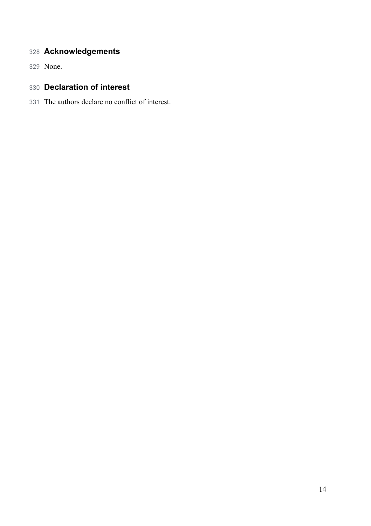## **Acknowledgements**

None.

## **Declaration of interest**

The authors declare no conflict of interest.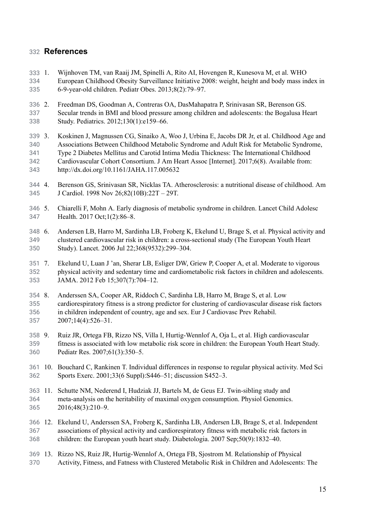## 332 **References**

- 333 1. 334 335 [Wijnhoven](http://paperpile.com/b/z4FX7G/S04Q) TM, van Raaij JM, Spinelli A, Rito AI, Hovengen R, Kunesova M, et al. WHO European Childhood Obesity [Surveillance](http://paperpile.com/b/z4FX7G/S04Q) Initiative 2008: weight, height and body mass index in 6-9-year-old children. Pediatr Obes. [2013;8\(2\):79–97.](http://paperpile.com/b/z4FX7G/S04Q)
- 336 2. 337 338 2. Freedman DS, Goodman A, Contreras OA, [DasMahapatra](http://paperpile.com/b/z4FX7G/YBwy) P, Srinivasan SR, Berenson GS. Secular trends in BMI and blood pressure among children and [adolescents:](http://paperpile.com/b/z4FX7G/YBwy) the Bogalusa Heart Study. Pediatrics. [2012;130\(1\):e159–66.](http://paperpile.com/b/z4FX7G/YBwy)
- 339 3. 340 341 342 343 3. Koskinen J, [Magnussen](http://paperpile.com/b/z4FX7G/g40R) CG, Sinaiko A, Woo J, Urbina E, Jacobs DR Jr, et al. Childhood Age and [Associations](http://paperpile.com/b/z4FX7G/g40R) Between Childhood Metabolic Syndrome and Adult Risk for Metabolic Syndrome, Type 2 Diabetes Mellitus and Carotid Intima Media Thickness: The [International](http://paperpile.com/b/z4FX7G/g40R) Childhood [Cardiovascular](http://paperpile.com/b/z4FX7G/g40R) Cohort Consortium. J Am Heart Assoc [Internet]. 2017;6(8). Available from: <http://dx.doi.org/10.1161/JAHA.117.005632>
- 344 4. 345 4. Berenson GS, Srinivasan SR, Nicklas TA. [Atherosclerosis:](http://paperpile.com/b/z4FX7G/TCmq) a nutritional disease of childhood. Am J Cardiol. 1998 Nov [26;82\(10B\):22T](http://paperpile.com/b/z4FX7G/TCmq) – 29T.
- 346 5. 347 5. Chiarelli F, Mohn A. Early diagnosis of metabolic [syndrome](http://paperpile.com/b/z4FX7G/AP5l) in children. Lancet Child Adolesc Health. 2017 [Oct;1\(2\):86–8.](http://paperpile.com/b/z4FX7G/AP5l)
- 348 6. 349 350 6. [Andersen](http://paperpile.com/b/z4FX7G/XUAn) LB, Harro M, Sardinha LB, Froberg K, Ekelund U, Brage S, et al. Physical activity and clustered cardiovascular risk in children: a [cross-sectional](http://paperpile.com/b/z4FX7G/XUAn) study (The European Youth Heart Study). Lancet. 2006 Jul [22;368\(9532\):299–304.](http://paperpile.com/b/z4FX7G/XUAn)
- 351 7. 352 353 Ekelund U, Luan J 'an, Sherar LB, Esliger DW, Griew P, Cooper A, et al. [Moderate](http://paperpile.com/b/z4FX7G/HNBF) to vigorous physical activity and sedentary time and [cardiometabolic](http://paperpile.com/b/z4FX7G/HNBF) risk factors in children and adolescents. JAMA. 2012 Feb [15;307\(7\):704–12.](http://paperpile.com/b/z4FX7G/HNBF)
- 354 8. 355 356 357 8. [Anderssen](http://paperpile.com/b/z4FX7G/ynvN) SA, Cooper AR, Riddoch C, Sardinha LB, Harro M, Brage S, et al. Low [cardiorespiratory](http://paperpile.com/b/z4FX7G/ynvN) fitness is a strong predictor for clustering of cardiovascular disease risk factors in children [independent](http://paperpile.com/b/z4FX7G/ynvN) of country, age and sex. Eur J Cardiovasc Prev Rehabil. [2007;14\(4\):526–31.](http://paperpile.com/b/z4FX7G/ynvN)
- 358 9. 359 360 9. Ruiz JR, Ortega FB, Rizzo NS, Villa I, [Hurtig-Wennlof](http://paperpile.com/b/z4FX7G/ftgS) A, Oja L, et al. High cardiovascular fitness is [associated](http://paperpile.com/b/z4FX7G/ftgS) with low metabolic risk score in children: the European Youth Heart Study. Pediatr Res. [2007;61\(3\):350–5.](http://paperpile.com/b/z4FX7G/ftgS)
- 361 10. 362 Bouchard C, Rankinen T. Individual [differences](http://paperpile.com/b/z4FX7G/aTkV) in response to regular physical activity. Med Sci Sports Exerc. 2001;33(6 [Suppl\):S446–51;](http://paperpile.com/b/z4FX7G/aTkV) discussion S452–3.
- 363 11. 364 365 Schutte NM, Nederend I, Hudziak JJ, Bartels M, de Geus EJ. [Twin-sibling](http://paperpile.com/b/z4FX7G/JRGh) study and [meta-analysis](http://paperpile.com/b/z4FX7G/JRGh) on the heritability of maximal oxygen consumption. Physiol Genomics. [2016;48\(3\):210–9.](http://paperpile.com/b/z4FX7G/JRGh)
- 366 12. Ekelund U, Anderssen SA, Froberg K, Sardinha LB, Andersen LB, Brage S, et al. [Independent](http://paperpile.com/b/z4FX7G/IFVL) 367 368 associations of physical activity and [cardiorespiratory](http://paperpile.com/b/z4FX7G/IFVL) fitness with metabolic risk factors in children: the European youth heart study. Diabetologia. 2007 [Sep;50\(9\):1832–40.](http://paperpile.com/b/z4FX7G/IFVL)
- 369 13. Rizzo NS, Ruiz JR, [Hurtig-Wennlof](http://paperpile.com/b/z4FX7G/NnGd) A, Ortega FB, Sjostrom M. Relationship of Physical 370 Activity, Fitness, and Fatness with Clustered Metabolic Risk in Children and [Adolescents:](http://paperpile.com/b/z4FX7G/NnGd) The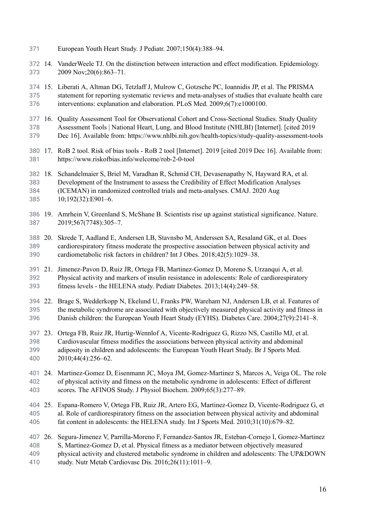- 371 European Youth Heart Study. J Pediatr. [2007;150\(4\):388–94.](http://paperpile.com/b/z4FX7G/NnGd)
- 372 14. 373 14. VanderWeele TJ. On the distinction between interaction and effect modification. [Epidemiology.](http://paperpile.com/b/z4FX7G/34Yr) 2009 [Nov;20\(6\):863–71.](http://paperpile.com/b/z4FX7G/34Yr)
- 374 15. Liberati A, Altman DG, Tetzlaff J, Mulrow C, Gotzsche PC, Ioannidis JP, et al. The [PRISMA](http://paperpile.com/b/z4FX7G/FXi0) 375 376 statement for reporting systematic reviews and [meta-analyses](http://paperpile.com/b/z4FX7G/FXi0) of studies that evaluate health care interventions: explanation and elaboration. PLoS Med. [2009;6\(7\):e1000100.](http://paperpile.com/b/z4FX7G/FXi0)
- 377 378 379 16. Quality Assessment Tool for Observational Cohort and [Cross-Sectional](http://paperpile.com/b/z4FX7G/ZP8f) Studies. Study Quality [Assessment](http://paperpile.com/b/z4FX7G/ZP8f) Tools | National Heart, Lung, and Blood Institute (NHLBI) [Internet]. [cited 2019 Dec 16]. [Available](http://paperpile.com/b/z4FX7G/ZP8f) from: <https://www.nhlbi.nih.gov/health-topics/study-quality-assessment-tools>
- 380 17. RoB 2 tool. Risk of bias tools RoB 2 tool [\[Internet\].](http://paperpile.com/b/z4FX7G/LCnC) 2019 [cited 2019 Dec 16]. Available from: 381 <https://www.riskofbias.info/welcome/rob-2-0-tool>
- 382 383 384 385 18. Schandelmaier S, Briel M, Varadhan R, Schmid CH, [Devasenapathy](http://paperpile.com/b/z4FX7G/IEBp) N, Hayward RA, et al. [Development](http://paperpile.com/b/z4FX7G/IEBp) of the Instrument to assess the Credibility of Effect Modification Analyses (ICEMAN) in randomized controlled trials and [meta-analyses.](http://paperpile.com/b/z4FX7G/IEBp) CMAJ. 2020 Aug [10;192\(32\):E901–6.](http://paperpile.com/b/z4FX7G/IEBp)
- 386 19. Amrhein V, Greenland S, McShane B. Scientists rise up against statistical [significance.](http://paperpile.com/b/z4FX7G/EMBE) Nature. 387 [2019;567\(7748\):305–7.](http://paperpile.com/b/z4FX7G/EMBE)
- 388 389 390 20. Skrede T, Aadland E, Andersen LB, Stavnsbo M, [Anderssen](http://paperpile.com/b/z4FX7G/digf) SA, Resaland GK, et al. Does [cardiorespiratory](http://paperpile.com/b/z4FX7G/digf) fitness moderate the prospective association between physical activity and cardiometabolic risk factors in children? Int J Obes. [2018;42\(5\):1029–38.](http://paperpile.com/b/z4FX7G/digf)
- 391 21. Jimenez-Pavon D, Ruiz JR, Ortega FB, [Martinez-Gomez](http://paperpile.com/b/z4FX7G/Bvhe) D, Moreno S, Urzanqui A, et al. 392 393 Physical activity and markers of insulin resistance in adolescents: Role of [cardiorespiratory](http://paperpile.com/b/z4FX7G/Bvhe) fitness levels - the HELENA study. Pediatr Diabetes. [2013;14\(4\):249–58.](http://paperpile.com/b/z4FX7G/Bvhe)
- 394 395 396 22. Brage S, [Wedderkopp](http://paperpile.com/b/z4FX7G/CXlZ) N, Ekelund U, Franks PW, Wareham NJ, Andersen LB, et al. Features of the metabolic syndrome are associated with [objectively](http://paperpile.com/b/z4FX7G/CXlZ) measured physical activity and fitness in Danish children: the European Youth Heart Study (EYHS). Diabetes Care. [2004;27\(9\):2141–8.](http://paperpile.com/b/z4FX7G/CXlZ)
- 397 23. 398 399 400 23. Ortega FB, Ruiz JR, Hurtig-Wennlof A, [Vicente-Rodriguez](http://paperpile.com/b/z4FX7G/qBwD) G, Rizzo NS, Castillo MJ, et al. [Cardiovascular](http://paperpile.com/b/z4FX7G/qBwD) fitness modifies the associations between physical activity and abdominal adiposity in children and [adolescents:](http://paperpile.com/b/z4FX7G/qBwD) the European Youth Heart Study. Br J Sports Med. [2010;44\(4\):256–62.](http://paperpile.com/b/z4FX7G/qBwD)
- 401 24. 402 403 24. [Martinez-Gomez](http://paperpile.com/b/z4FX7G/KSMZ) D, Eisenmann JC, Moya JM, Gomez-Martinez S, Marcos A, Veiga OL. The role of physical activity and fitness on the metabolic syndrome in [adolescents:](http://paperpile.com/b/z4FX7G/KSMZ) Effect of different scores. The AFINOS Study. J Physiol Biochem. [2009;65\(3\):277–89.](http://paperpile.com/b/z4FX7G/KSMZ)
- 404 25. 405 406 25. Espana-Romero V, Ortega FB, Ruiz JR, Artero EG, Martinez-Gomez D, [Vicente-Rodriguez](http://paperpile.com/b/z4FX7G/mVrr) G, et al. Role of [cardiorespiratory](http://paperpile.com/b/z4FX7G/mVrr) fitness on the association between physical activity and abdominal fat content in adolescents: the HELENA study. Int J Sports Med. [2010;31\(10\):679–82.](http://paperpile.com/b/z4FX7G/mVrr)
- 407 26. Segura-Jimenez V, Parrilla-Moreno F, [Fernandez-Santos](http://paperpile.com/b/z4FX7G/B164) JR, Esteban-Cornejo I, Gomez-Martinez 408 409 410 S, [Martinez-Gomez](http://paperpile.com/b/z4FX7G/B164) D, et al. Physical fitness as a mediator between objectively measured physical activity and clustered metabolic syndrome in children and adolescents: The [UP&DOWN](http://paperpile.com/b/z4FX7G/B164) study. Nutr Metab Cardiovasc Dis. [2016;26\(11\):1011–9.](http://paperpile.com/b/z4FX7G/B164)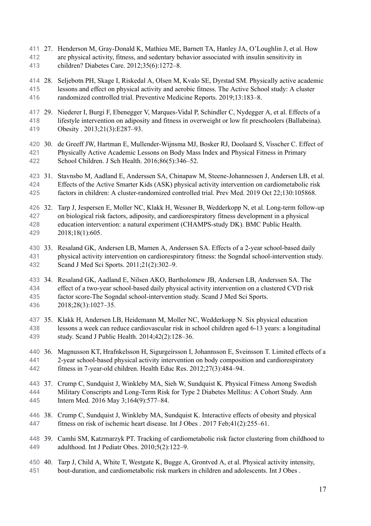- 411 412 413 27. Henderson M, [Gray-Donald](http://paperpile.com/b/z4FX7G/HJmQ) K, Mathieu ME, Barnett TA, Hanley JA, O'Loughlin J, et al. How are physical activity, fitness, and sedentary behavior associated with insulin [sensitivity](http://paperpile.com/b/z4FX7G/HJmQ) in children? Diabetes Care. [2012;35\(6\):1272–8.](http://paperpile.com/b/z4FX7G/HJmQ)
- 414 28. 415 416 28. Seljebotn PH, Skage I, Riskedal A, Olsen M, Kvalo SE, Dyrstad SM. [Physically](http://paperpile.com/b/z4FX7G/mX3o) active academic lessons and effect on [physical](http://paperpile.com/b/z4FX7G/mX3o) activity and aerobic fitness. The Active School study: A cluster randomized controlled trial. Preventive Medicine Reports. [2019;13:183–8.](http://paperpile.com/b/z4FX7G/mX3o)
- 417 418 419 29. Niederer I, Burgi F, Ebenegger V, [Marques-Vidal](http://paperpile.com/b/z4FX7G/YLWT) P, Schindler C, Nydegger A, et al. Effects of a lifestyle intervention on adiposity and fitness in overweight or low fit preschoolers [\(Ballabeina\).](http://paperpile.com/b/z4FX7G/YLWT) Obesity . [2013;21\(3\):E287–93.](http://paperpile.com/b/z4FX7G/YLWT)
- 420 30. de Greeff JW, Hartman E, [Mullender-Wijnsma](http://paperpile.com/b/z4FX7G/N5bp) MJ, Bosker RJ, Doolaard S, Visscher C. Effect of 421 422 [Physically](http://paperpile.com/b/z4FX7G/N5bp) Active Academic Lessons on Body Mass Index and Physical Fitness in Primary School Children. J Sch Health. [2016;86\(5\):346–52.](http://paperpile.com/b/z4FX7G/N5bp)
- 423 31. Stavnsbo M, Aadland E, Anderssen SA, Chinapaw M, [Steene-Johannessen](http://paperpile.com/b/z4FX7G/gJAG) J, Andersen LB, et al. 424 425 Effects of the Active Smarter Kids (ASK) physical activity intervention on [cardiometabolic](http://paperpile.com/b/z4FX7G/gJAG) risk factors in children: A [cluster-randomized](http://paperpile.com/b/z4FX7G/gJAG) controlled trial. Prev Med. 2019 Oct 22;130:105868.

426 32. 427 428 429 32. Tarp J, Jespersen E, Moller NC, Klakk H, Wessner B, [Wedderkopp](http://paperpile.com/b/z4FX7G/BVqO) N, et al. Long-term follow-up on biological risk factors, adiposity, and [cardiorespiratory](http://paperpile.com/b/z4FX7G/BVqO) fitness development in a physical education intervention: a natural experiment [\(CHAMPS-study](http://paperpile.com/b/z4FX7G/BVqO) DK). BMC Public Health. [2018;18\(1\):605.](http://paperpile.com/b/z4FX7G/BVqO)

430 33. 431 432 Resaland GK, Andersen LB, Mamen A, Anderssen SA. Effects of a 2-year [school-based](http://paperpile.com/b/z4FX7G/gl34) daily physical activity intervention on cardiorespiratory fitness: the Sogndal [school-intervention](http://paperpile.com/b/z4FX7G/gl34) study. Scand J Med Sci Sports. [2011;21\(2\):302–9.](http://paperpile.com/b/z4FX7G/gl34)

433 434 435 436 34. Resaland GK, Aadland E, Nilsen AKO, [Bartholomew](http://paperpile.com/b/z4FX7G/YlVB) JB, Andersen LB, Anderssen SA. The effect of a two-year [school-based](http://paperpile.com/b/z4FX7G/YlVB) daily physical activity intervention on a clustered CVD risk factor score-The Sogndal [school-intervention](http://paperpile.com/b/z4FX7G/YlVB) study. Scand J Med Sci Sports. [2018;28\(3\):1027–35.](http://paperpile.com/b/z4FX7G/YlVB)

- 437 35. Klakk H, Andersen LB, Heidemann M, Moller NC, [Wedderkopp](http://paperpile.com/b/z4FX7G/6vry) N. Six physical education 438 439 lessons a week can reduce [cardiovascular](http://paperpile.com/b/z4FX7G/6vry) risk in school children aged 6-13 years: a longitudinal study. Scand J Public Health. [2014;42\(2\):128–36.](http://paperpile.com/b/z4FX7G/6vry)
- 440 441 442 36. Magnusson KT, Hrafnkelsson H, [Sigurgeirsson](http://paperpile.com/b/z4FX7G/2dR2) I, Johannsson E, Sveinsson T. Limited effects of a 2-year school-based physical activity intervention on body composition and [cardiorespiratory](http://paperpile.com/b/z4FX7G/2dR2) fitness in 7-year-old children. Health Educ Res. [2012;27\(3\):484–94.](http://paperpile.com/b/z4FX7G/2dR2)
- 443 37. Crump C, Sundquist J, Winkleby MA, Sieh W, [Sundquist](http://paperpile.com/b/z4FX7G/tMMw) K. Physical Fitness Among Swedish 444 445 Military Conscripts and [Long-Term](http://paperpile.com/b/z4FX7G/tMMw) Risk for Type 2 Diabetes Mellitus: A Cohort Study. Ann Intern Med. 2016 May [3;164\(9\):577–84.](http://paperpile.com/b/z4FX7G/tMMw)
- 446 38. 447 38. Crump C, Sundquist J, Winkleby MA, Sundquist K. [Interactive](http://paperpile.com/b/z4FX7G/y5py) effects of obesity and physical fitness on risk of ischemic heart disease. Int J Obes . 2017 [Feb;41\(2\):255–61.](http://paperpile.com/b/z4FX7G/y5py)
- 448 39. Camhi SM, Katzmarzyk PT. Tracking of [cardiometabolic](http://paperpile.com/b/z4FX7G/8aqZ) risk factor clustering from childhood to 449 adulthood. Int J Pediatr Obes. [2010;5\(2\):122–9.](http://paperpile.com/b/z4FX7G/8aqZ)
- 450 40. 451 Tarp J, Child A, White T, Westgate K, Bugge A, [Grontved](http://paperpile.com/b/z4FX7G/Lql3) A, et al. Physical activity intensity, bout-duration, and [cardiometabolic](http://paperpile.com/b/z4FX7G/Lql3) risk markers in children and adolescents. Int J Obes .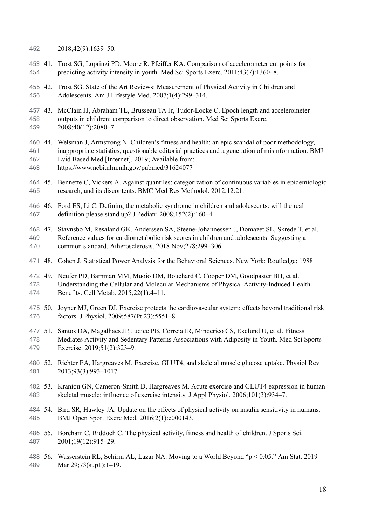- 452 [2018;42\(9\):1639–50.](http://paperpile.com/b/z4FX7G/Lql3)
- 453 454 41. Trost SG, Loprinzi PD, Moore R, Pfeiffer KA. Comparison of [accelerometer](http://paperpile.com/b/z4FX7G/n36Y) cut points for predicting activity intensity in youth. Med Sci Sports Exerc. [2011;43\(7\):1360–8.](http://paperpile.com/b/z4FX7G/n36Y)
- 455 42. Trost SG. State of the Art Reviews: [Measurement](http://paperpile.com/b/z4FX7G/2mYe) of Physical Activity in Children and 456 Adolescents. Am J Lifestyle Med. [2007;1\(4\):299–314.](http://paperpile.com/b/z4FX7G/2mYe)
- 457 43. 458 459 43. McClain JJ, Abraham TL, Brusseau TA Jr, Tudor-Locke C. Epoch length and [accelerometer](http://paperpile.com/b/z4FX7G/sVr9) outputs in children: comparison to direct [observation.](http://paperpile.com/b/z4FX7G/sVr9) Med Sci Sports Exerc. [2008;40\(12\):2080–7.](http://paperpile.com/b/z4FX7G/sVr9)
- 460 44. 461 462 463 Welsman J, Armstrong N. Children's fitness and health: an epic scandal of poor [methodology,](http://paperpile.com/b/z4FX7G/aJty) inappropriate statistics, questionable editorial practices and a generation of [misinformation.](http://paperpile.com/b/z4FX7G/aJty) BMJ Evid Based Med [\[Internet\].](http://paperpile.com/b/z4FX7G/aJty) 2019; Available from: <https://www.ncbi.nlm.nih.gov/pubmed/31624077>
- 
- 464 465 45. Bennette C, Vickers A. Against quantiles: categorization of continuous variables in [epidemiologic](http://paperpile.com/b/z4FX7G/acl5) research, and its discontents. BMC Med Res Methodol. [2012;12:21.](http://paperpile.com/b/z4FX7G/acl5)
- 466. 467 46. Ford ES, Li C. Defining the metabolic syndrome in children and [adolescents:](http://paperpile.com/b/z4FX7G/0aI9) will the real definition please stand up? J Pediatr. [2008;152\(2\):160–4.](http://paperpile.com/b/z4FX7G/0aI9)
- 468 47. Stavnsbo M, Resaland GK, Anderssen SA, [Steene-Johannessen](http://paperpile.com/b/z4FX7G/UZ6R) J, Domazet SL, Skrede T, et al. 469 470 Reference values for [cardiometabolic](http://paperpile.com/b/z4FX7G/UZ6R) risk scores in children and adolescents: Suggesting a common standard. Atherosclerosis. 2018 [Nov;278:299–306.](http://paperpile.com/b/z4FX7G/UZ6R)
- 471 48. Cohen J. Statistical Power Analysis for the Behavioral Sciences. New York: [Routledge;](http://paperpile.com/b/z4FX7G/byN8) 1988.
- 472 49. Neufer PD, Bamman MM, Muoio DM, Bouchard C, Cooper DM, [Goodpaster](http://paperpile.com/b/z4FX7G/z3at) BH, et al. 473 474 Understanding the Cellular and Molecular Mechanisms of Physical [Activity-Induced](http://paperpile.com/b/z4FX7G/z3at) Health Benefits. Cell Metab. [2015;22\(1\):4–11.](http://paperpile.com/b/z4FX7G/z3at)
- 475 50. 476 50. Joyner MJ, Green DJ. Exercise protects the [cardiovascular](http://paperpile.com/b/z4FX7G/eto5) system: effects beyond traditional risk factors. J Physiol. [2009;587\(Pt](http://paperpile.com/b/z4FX7G/eto5) 23):5551–8.
- 477 51. 478 479 51. Santos DA, [Magalhaes](http://paperpile.com/b/z4FX7G/aa3k) JP, Judice PB, Correia IR, Minderico CS, Ekelund U, et al. Fitness Mediates Activity and Sedentary Patterns [Associations](http://paperpile.com/b/z4FX7G/aa3k) with Adiposity in Youth. Med Sci Sports Exercise. [2019;51\(2\):323–9.](http://paperpile.com/b/z4FX7G/aa3k)
- 480 52. 481 52. Richter EA, [Hargreaves](http://paperpile.com/b/z4FX7G/m6cH) M. Exercise, GLUT4, and skeletal muscle glucose uptake. Physiol Rev. [2013;93\(3\):993–1017.](http://paperpile.com/b/z4FX7G/m6cH)
- 482 53 483 53. Kraniou GN, [Cameron-Smith](http://paperpile.com/b/z4FX7G/oNJM) D, Hargreaves M. Acute exercise and GLUT4 expression in human skeletal muscle: influence of exercise intensity. J Appl Physiol. [2006;101\(3\):934–7.](http://paperpile.com/b/z4FX7G/oNJM)
- 484 54. Bird SR, Hawley JA. Update on the effects of physical activity on insulin [sensitivity](http://paperpile.com/b/z4FX7G/PHAG) in humans. 485 BMJ Open Sport Exerc Med. [2016;2\(1\):e000143.](http://paperpile.com/b/z4FX7G/PHAG)
- 486 55. 487 55. [Boreham](http://paperpile.com/b/z4FX7G/2Weh) C, Riddoch C. The physical activity, fitness and health of children. J Sports Sci. [2001;19\(12\):915–29.](http://paperpile.com/b/z4FX7G/2Weh)
- 488 56. [Wasserstein](http://paperpile.com/b/z4FX7G/nCDb) RL, Schirm AL, Lazar NA. Moving to a World Beyond "p < 0.05." Am Stat. 2019 489 Mar 29;73(sup1):1-19.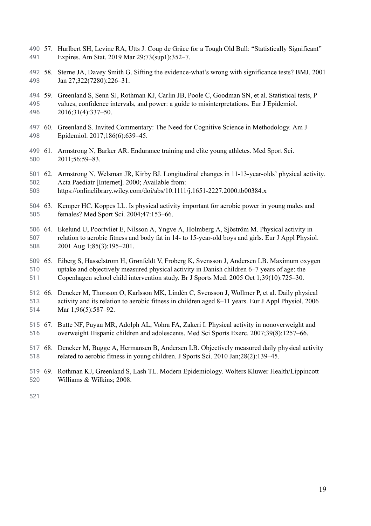- 490 491 57. Hurlbert SH, Levine RA, Utts J. Coup de Grâce for a Tough Old Bull: ["Statistically](http://paperpile.com/b/z4FX7G/gw67) Significant" Expires. Am Stat. 2019 Mar [29;73\(sup1\):352–7.](http://paperpile.com/b/z4FX7G/gw67)
- 492 58. 493 Sterne JA, Davey Smith G. Sifting the [evidence-what's](http://paperpile.com/b/z4FX7G/sLh8) wrong with significance tests? BMJ. 2001 Jan [27;322\(7280\):226–31.](http://paperpile.com/b/z4FX7G/sLh8)
- 494 59. 495 496 59. [Greenland](http://paperpile.com/b/z4FX7G/3mY4) S, Senn SJ, Rothman KJ, Carlin JB, Poole C, Goodman SN, et al. Statistical tests, P values, confidence intervals, and power: a guide to [misinterpretations.](http://paperpile.com/b/z4FX7G/3mY4) Eur J Epidemiol. [2016;31\(4\):337–50.](http://paperpile.com/b/z4FX7G/3mY4)
- 497 498 60. Greenland S. Invited Commentary: The Need for Cognitive Science in [Methodology.](http://paperpile.com/b/z4FX7G/scL6) Am J Epidemiol. [2017;186\(6\):639–45.](http://paperpile.com/b/z4FX7G/scL6)
- 499 500 61. [Armstrong](http://paperpile.com/b/z4FX7G/NLCD) N, Barker AR. Endurance training and elite young athletes. Med Sport Sci. [2011;56:59–83.](http://paperpile.com/b/z4FX7G/NLCD)
- 501 62. Armstrong N, Welsman JR, Kirby BJ. Longitudinal changes in [11‐13‐year‐olds'](http://paperpile.com/b/z4FX7G/fJJa) physical activity. 502 Acta Paediatr [\[Internet\].](http://paperpile.com/b/z4FX7G/fJJa) 2000; Available from:
- 503 <https://onlinelibrary.wiley.com/doi/abs/10.1111/j.1651-2227.2000.tb00384.x>
- 504 63. Kemper HC, Koppes LL. Is physical activity [important](http://paperpile.com/b/z4FX7G/ohbH) for aerobic power in young males and 505 females? Med Sport Sci. [2004;47:153–66.](http://paperpile.com/b/z4FX7G/ohbH)
- 506 64. Ekelund U, Poortvliet E, Nilsson A, Yngve A, [Holmberg](http://paperpile.com/b/z4FX7G/yZJn) A, Sjöström M. Physical activity in 507 508 relation to aerobic fitness and body fat in 14- to [15-year-old](http://paperpile.com/b/z4FX7G/yZJn) boys and girls. Eur J Appl Physiol. 2001 Aug [1;85\(3\):195–201.](http://paperpile.com/b/z4FX7G/yZJn)
- 509 65. Eiberg S, [Hasselstrom](http://paperpile.com/b/z4FX7G/4UDy) H, Grønfeldt V, Froberg K, Svensson J, Andersen LB. Maximum oxygen 510 511 uptake and [objectively](http://paperpile.com/b/z4FX7G/4UDy) measured physical activity in Danish children 6–7 years of age: the Copenhagen school child intervention study. Br J Sports Med. 2005 Oct [1;39\(10\):725–30.](http://paperpile.com/b/z4FX7G/4UDy)
- 512 66. 513 514 66. Dencker M, Thorsson O, Karlsson MK, Lindén C, [Svensson](http://paperpile.com/b/z4FX7G/ivlG) J, Wollmer P, et al. Daily physical activity and its relation to aerobic fitness in [children](http://paperpile.com/b/z4FX7G/ivlG) aged 8–11 years. Eur J Appl Physiol. 2006 Mar 1;96(5):587-92.
- 515 67. Butte NF, Puyau MR, Adolph AL, Vohra FA, Zakeri I. Physical activity in [nonoverweight](http://paperpile.com/b/z4FX7G/u4dC) and 516 overweight Hispanic children and adolescents. Med Sci Sports Exerc. [2007;39\(8\):1257–66.](http://paperpile.com/b/z4FX7G/u4dC)
- 517 68. Dencker M, Bugge A, Hermansen B, Andersen LB. [Objectively](http://paperpile.com/b/z4FX7G/fcRq) measured daily physical activity 518 related to aerobic fitness in young children. J Sports Sci. 2010 [Jan;28\(2\):139–45.](http://paperpile.com/b/z4FX7G/fcRq)
- 519 520 69. Rothman KJ, Greenland S, Lash TL. Modern Epidemiology. Wolters Kluwer [Health/Lippincott](http://paperpile.com/b/z4FX7G/tHMr) [Williams](http://paperpile.com/b/z4FX7G/tHMr) & Wilkins; 2008.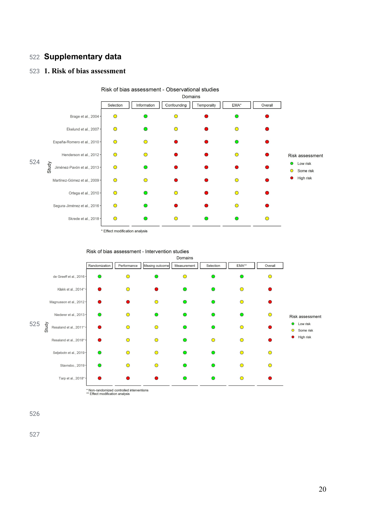## **Supplementary data**

## **1. Risk of bias assessment**





Risk of bias assessment - Intervention studies

\* Non-randomized controlled interventions<br>\*\* Effect modification analysis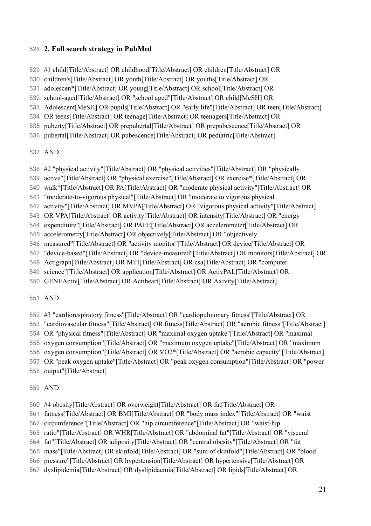## **2. Full search strategy in PubMed**

- #1 child[Title/Abstract] OR childhood[Title/Abstract] OR children[Title/Abstract] OR
- children's[Title/Abstract] OR youth[Title/Abstract] OR youths[Title/Abstract] OR
- adolescen\*[Title/Abstract] OR young[Title/Abstract] OR school[Title/Abstract] OR
- school-aged[Title/Abstract] OR "school aged"[Title/Abstract] OR child[MeSH] OR
- Adolescent[MeSH] OR pupils[Title/Abstract] OR "early life"[Title/Abstract] OR teen[Title/Abstract]
- OR teens[Title/Abstract] OR teenage[Title/Abstract] OR teenagers[Title/Abstract] OR
- puberty[Title/Abstract] OR prepubertal[Title/Abstract] OR prepubescence[Title/Abstract] OR
- pubertal[Title/Abstract] OR pubescence[Title/Abstract] OR pediatric[Title/Abstract]

## AND

- #2 "physical activity"[Title/Abstract] OR "physical activities"[Title/Abstract] OR "physically
- active"[Title/Abstract] OR "physical exercise"[Title/Abstract] OR exercise\*[Title/Abstract] OR
- walk\*[Title/Abstract] OR PA[Title/Abstract] OR "moderate physical activity"[Title/Abstract] OR
- "moderate-to-vigorous physical"[Title/Abstract] OR "moderate to vigorous physical
- activity"[Title/Abstract] OR MVPA[Title/Abstract] OR "vigorous physical activity"[Title/Abstract]
- OR VPA[Title/Abstract] OR activity[Title/Abstract] OR intensity[Title/Abstract] OR "energy
- expenditure"[Title/Abstract] OR PAEE[Title/Abstract] OR accelerometer[Title/Abstract] OR
- accelerometry[Title/Abstract] OR objectively[Title/Abstract] OR "objectively
- measured"[Title/Abstract] OR "activity monitor"[Title/Abstract] OR device[Title/Abstract] OR
- "device-based"[Title/Abstract] OR "device-measured"[Title/Abstract] OR monitors[Title/Abstract] OR
- Actigraph[Title/Abstract] OR MTI[Title/Abstract] OR csa[Title/Abstract] OR "computer
- science"[Title/Abstract] OR application[Title/Abstract] OR ActivPAL[Title/Abstract] OR
- GENEActiv[Title/Abstract] OR Actiheart[Title/Abstract] OR Axivity[Title/Abstract]

## AND

- #3 "cardiorespiratory fitness"[Title/Abstract] OR "cardiopulmonary fitness"[Title/Abstract] OR
- "cardiovascular fitness"[Title/Abstract] OR fitness[Title/Abstract] OR "aerobic fitness"[Title/Abstract]
- OR "physical fitness"[Title/Abstract] OR "maximal oxygen uptake"[Title/Abstract] OR "maximal
- oxygen consumption"[Title/Abstract] OR "maximum oxygen uptake"[Title/Abstract] OR "maximum
- oxygen consumption"[Title/Abstract] OR VO2\*[Title/Abstract] OR "aerobic capacity"[Title/Abstract]
- OR "peak oxygen uptake"[Title/Abstract] OR "peak oxygen consumption"[Title/Abstract] OR "power
- output"[Title/Abstract]

## AND

- #4 obesity[Title/Abstract] OR overweight[Title/Abstract] OR fat[Title/Abstract] OR
- fatness[Title/Abstract] OR BMI[Title/Abstract] OR "body mass index"[Title/Abstract] OR "waist
- circumference"[Title/Abstract] OR "hip circumference"[Title/Abstract] OR "waist-hip
- ratio"[Title/Abstract] OR WHR[Title/Abstract] OR "abdominal fat"[Title/Abstract] OR "visceral
- fat"[Title/Abstract] OR adiposity[Title/Abstract] OR "central obesity"[Title/Abstract] OR "fat
- mass"[Title/Abstract] OR skinfold[Title/Abstract] OR "sum of skinfold"[Title/Abstract] OR "blood
- pressure"[Title/Abstract] OR hypertension[Title/Abstract] OR hypertensive[Title/Abstract] OR
- dyslipidemia[Title/Abstract] OR dyslipidaemia[Title/Abstract] OR lipids[Title/Abstract] OR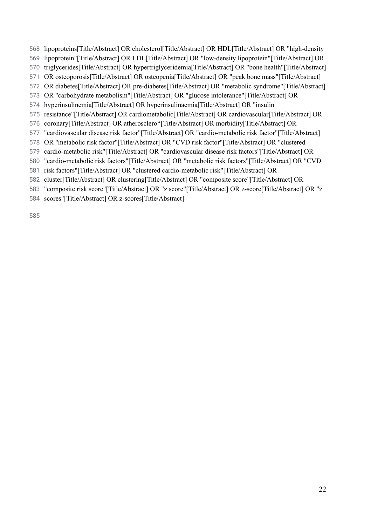- 568 lipoproteins[Title/Abstract] OR cholesterol[Title/Abstract] OR HDL[Title/Abstract] OR "high-density
- 569 lipoprotein"[Title/Abstract] OR LDL[Title/Abstract] OR "low-density lipoprotein"[Title/Abstract] OR
- 570 triglycerides[Title/Abstract] OR hypertriglyceridemia[Title/Abstract] OR "bone health"[Title/Abstract]
- 571 OR osteoporosis[Title/Abstract] OR osteopenia[Title/Abstract] OR "peak bone mass"[Title/Abstract]
- 572 OR diabetes[Title/Abstract] OR pre-diabetes[Title/Abstract] OR "metabolic syndrome"[Title/Abstract]
- 573 OR "carbohydrate metabolism"[Title/Abstract] OR "glucose intolerance"[Title/Abstract] OR
- 574 hyperinsulinemia[Title/Abstract] OR hyperinsulinaemia[Title/Abstract] OR "insulin
- 575 resistance"[Title/Abstract] OR cardiometabolic[Title/Abstract] OR cardiovascular[Title/Abstract] OR
- 576 coronary[Title/Abstract] OR atherosclero\*[Title/Abstract] OR morbidity[Title/Abstract] OR
- 577 "cardiovascular disease risk factor"[Title/Abstract] OR "cardio-metabolic risk factor"[Title/Abstract]
- 578 OR "metabolic risk factor"[Title/Abstract] OR "CVD risk factor"[Title/Abstract] OR "clustered
- 579 cardio-metabolic risk"[Title/Abstract] OR "cardiovascular disease risk factors"[Title/Abstract] OR
- 580 "cardio-metabolic risk factors"[Title/Abstract] OR "metabolic risk factors"[Title/Abstract] OR "CVD
- 581 risk factors"[Title/Abstract] OR "clustered cardio-metabolic risk"[Title/Abstract] OR
- 582 cluster[Title/Abstract] OR clustering[Title/Abstract] OR "composite score"[Title/Abstract] OR
- 583 "composite risk score"[Title/Abstract] OR "z score"[Title/Abstract] OR z-score[Title/Abstract] OR "z
- 584 scores"[Title/Abstract] OR z-scores[Title/Abstract]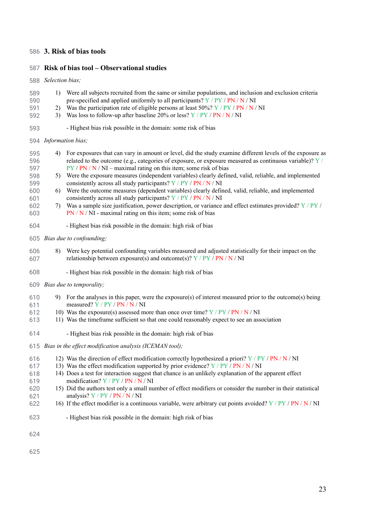## 586 **3. Risk of bias tools**

### 587 **Risk of bias tool – Observational studies**

### 588 *Selection bias;*

| 593               |                                                         | - Highest bias risk possible in the domain: some risk of bias                                                                                                                                                                                                                                |  |  |  |
|-------------------|---------------------------------------------------------|----------------------------------------------------------------------------------------------------------------------------------------------------------------------------------------------------------------------------------------------------------------------------------------------|--|--|--|
|                   |                                                         | 594 Information bias;                                                                                                                                                                                                                                                                        |  |  |  |
| 595<br>596<br>597 | 4)                                                      | For exposures that can vary in amount or level, did the study examine different levels of the exposure as<br>related to the outcome (e.g., categories of exposure, or exposure measured as continuous variable)? $Y/$<br>$PY / PN / N / NI$ – maximal rating on this item; some risk of bias |  |  |  |
| 598<br>599        |                                                         | 5) Were the exposure measures (independent variables) clearly defined, valid, reliable, and implemented<br>consistently across all study participants? Y / PY / PN / N / NI                                                                                                                  |  |  |  |
| 600<br>601        | 6)                                                      | Were the outcome measures (dependent variables) clearly defined, valid, reliable, and implemented<br>consistently across all study participants? Y / PY / PN / N / NI                                                                                                                        |  |  |  |
| 602<br>603        | 7)                                                      | Was a sample size justification, power description, or variance and effect estimates provided? $Y / PY$ /<br>$PN / N / NI$ - maximal rating on this item; some risk of bias                                                                                                                  |  |  |  |
| 604               |                                                         | - Highest bias risk possible in the domain: high risk of bias                                                                                                                                                                                                                                |  |  |  |
|                   |                                                         | 605 Bias due to confounding;                                                                                                                                                                                                                                                                 |  |  |  |
| 606<br>607        | 8)                                                      | Were key potential confounding variables measured and adjusted statistically for their impact on the<br>relationship between exposure(s) and outcome(s)? $Y / PY / PN / N / NI$                                                                                                              |  |  |  |
| 608               |                                                         | - Highest bias risk possible in the domain: high risk of bias                                                                                                                                                                                                                                |  |  |  |
| 609               |                                                         | Bias due to temporality;                                                                                                                                                                                                                                                                     |  |  |  |
| 610<br>611        | 9)                                                      | For the analyses in this paper, were the exposure(s) of interest measured prior to the outcome(s) being<br>measured? Y / PY / PN / N / NI                                                                                                                                                    |  |  |  |
| 612<br>613        |                                                         | 10) Was the exposure(s) assessed more than once over time? $Y / PY / PN / N / NI$<br>11) Was the timeframe sufficient so that one could reasonably expect to see an association                                                                                                              |  |  |  |
| 614               |                                                         | - Highest bias risk possible in the domain: high risk of bias                                                                                                                                                                                                                                |  |  |  |
| 615               | Bias in the effect modification analysis (ICEMAN tool); |                                                                                                                                                                                                                                                                                              |  |  |  |
| 616               |                                                         | 12) Was the direction of effect modification correctly hypothesized a priori? $Y / PY / PN / NN / NI$<br>13) Was the effect modification supported by prior evidence? $Y / PY / PN / N / NI$                                                                                                 |  |  |  |
| 617<br>618<br>619 |                                                         | 14) Does a test for interaction suggest that chance is an unlikely explanation of the apparent effect<br>modification? Y / PY / PN / N / NI                                                                                                                                                  |  |  |  |
| 620<br>621        |                                                         | 15) Did the authors test only a small number of effect modifiers or consider the number in their statistical<br>analysis? Y / PY / PN / N / NI                                                                                                                                               |  |  |  |
| 622               |                                                         | 16) If the effect modifier is a continuous variable, were arbitrary cut points avoided? $Y / PY / PN / NN / NI$                                                                                                                                                                              |  |  |  |
| 623               |                                                         | - Highest bias risk possible in the domain: high risk of bias                                                                                                                                                                                                                                |  |  |  |
| 624               |                                                         |                                                                                                                                                                                                                                                                                              |  |  |  |

1) Were all subjects recruited from the same or similar populations, and inclusion and exclusion criteria

pre-specified and applied uniformly to all participants? Y / PY / PN / N / NI 2) Was the participation rate of eligible persons at least 50%?  $Y / PY / PN / N / NI$ 

3) Was loss to follow-up after baseline  $20\%$  or less? Y / PY / PN / N / NI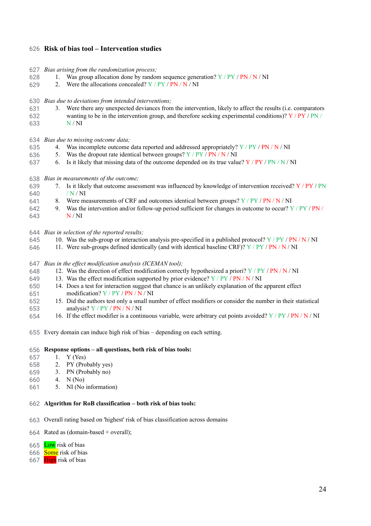### 626 **Risk of bias tool – Intervention studies**

- 627 *Bias arising from the randomization process;*
- 628 1. Was group allocation done by random sequence generation?  $Y / PY / PN / N / NI$
- 629 2. Were the allocations concealed?  $Y / PY / PN / N / NI$
- 630 *Bias due to deviations from intended interventions;*
- 631 3. Were there any unexpected deviances from the intervention, likely to affect the results (i.e. comparators
- 632 633 wanting to be in the intervention group, and therefore seeking experimental conditions)?  $Y / PY / PN$ N / NI
- 634 *Bias due to missing outcome data;*
- 635 4. Was incomplete outcome data reported and addressed appropriately?  $Y / PY / PN / N / NI$
- 636 5. Was the dropout rate identical between groups?  $Y / PY / PN / N / NI$
- 637 6. Is it likely that missing data of the outcome depended on its true value?  $Y / PY / PN / N / NI$
- 638 *Bias in measurements of the outcome;*
- 639 640 7. Is it likely that outcome assessment was influenced by knowledge of intervention received?  $Y / PY / PN$ / N / NI
- 641 8. Were measurements of CRF and outcomes identical between groups?  $Y / PY / PN / N / NI$
- 642 9. Was the intervention and/or follow-up period sufficient for changes in outcome to occur?  $Y / PY / PN / P$
- 643 N / NI
- 644 *Bias in selection of the reported results;*
- 645 10. Was the sub-group or interaction analysis pre-specified in a published protocol?  $Y / PY / PN / NN / NI$
- 646 11. Were sub-groups defined identically (and with identical baseline CRF)?  $Y / PY / PN / NN / NI$
- 647 *Bias in the ef ect modification analysis (ICEMAN tool);*
- 648 12. Was the direction of effect modification correctly hypothesized a priori?  $Y / PY / PN / NN / NI$
- 649 13. Was the effect modification supported by prior evidence?  $Y / PY / PN / N / NI$
- 650 14. Does a test for interaction suggest that chance is an unlikely explanation of the apparent effect
- 651 modification? Y / PY / PN / N / NI
- 652 653 15. Did the authors test only a small number of effect modifiers or consider the number in their statistical analysis? Y / PY / PN / N / NI
- 654 16. If the effect modifier is a continuous variable, were arbitrary cut points avoided?  $Y / PY / PN / NN / NI$
- 655 Every domain can induce high risk of bias depending on each setting.

#### 656 **Response options – all questions, both risk of bias tools:**

- 657 1. Y (Yes)
- 658 2. PY (Probably yes)
- 659 3. PN (Probably no)
- 660 4. N (No)
- 661 5. NI (No information)

### 662 **Algorithm for RoB classification – both risk of bias tools:**

- 663 Overall rating based on 'highest' risk of bias classification across domains
- 664 Rated as (domain-based + overall);
- 665 Low risk of bias
- 666 Some risk of bias
- 667 High risk of bias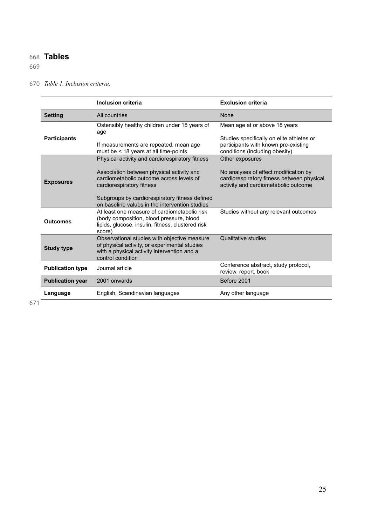## 668 **Tables**

## 669

### 670 *Table 1. Inclusion criteria.*

|                         | <b>Inclusion criteria</b>                                                                                                                                         | <b>Exclusion criteria</b>                                                                                                   |
|-------------------------|-------------------------------------------------------------------------------------------------------------------------------------------------------------------|-----------------------------------------------------------------------------------------------------------------------------|
| <b>Setting</b>          | All countries                                                                                                                                                     | <b>None</b>                                                                                                                 |
|                         | Ostensibly healthy children under 18 years of<br>age                                                                                                              | Mean age at or above 18 years                                                                                               |
| <b>Participants</b>     | If measurements are repeated, mean age<br>must be < 18 years at all time-points                                                                                   | Studies specifically on elite athletes or<br>participants with known pre-existing<br>conditions (including obesity)         |
|                         | Physical activity and cardiorespiratory fitness                                                                                                                   | Other exposures                                                                                                             |
| <b>Exposures</b>        | Association between physical activity and<br>cardiometabolic outcome across levels of<br>cardiorespiratory fitness                                                | No analyses of effect modification by<br>cardiorespiratory fitness between physical<br>activity and cardiometabolic outcome |
|                         | Subgroups by cardiorespiratory fitness defined<br>on baseline values in the intervention studies                                                                  |                                                                                                                             |
| <b>Outcomes</b>         | At least one measure of cardiometabolic risk<br>(body composition, blood pressure, blood<br>lipids, glucose, insulin, fitness, clustered risk<br>score)           | Studies without any relevant outcomes                                                                                       |
| <b>Study type</b>       | Observational studies with objective measure<br>of physical activity, or experimental studies<br>with a physical activity intervention and a<br>control condition | Qualitative studies                                                                                                         |
| <b>Publication type</b> | Journal article                                                                                                                                                   | Conference abstract, study protocol,<br>review, report, book                                                                |
| <b>Publication year</b> | 2001 onwards                                                                                                                                                      | Before 2001                                                                                                                 |
| Language                | English, Scandinavian languages                                                                                                                                   | Any other language                                                                                                          |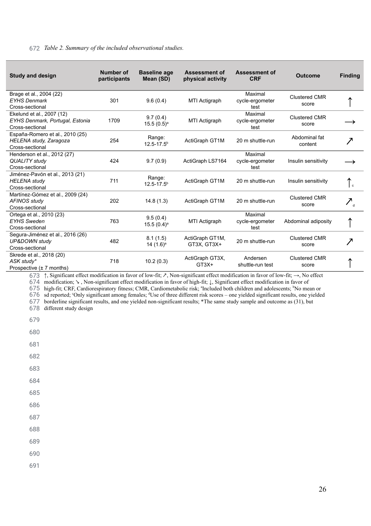### 672 *Table 2. Summary of the included observational studies.*

| <b>Study and design</b>                                                             | <b>Number of</b><br>participants | <b>Baseline age</b><br>Mean (SD)     | <b>Assessment of</b><br>physical activity | Assessment of<br><b>CRF</b>        | <b>Outcome</b>                | <b>Finding</b>     |
|-------------------------------------------------------------------------------------|----------------------------------|--------------------------------------|-------------------------------------------|------------------------------------|-------------------------------|--------------------|
| Brage et al., 2004 (22)<br><b>EYHS Denmark</b><br>Cross-sectional                   | 301                              | 9.6(0.4)                             | MTI Actigraph                             | Maximal<br>cycle-ergometer<br>test | <b>Clustered CMR</b><br>score |                    |
| Ekelund et al., 2007 (12)<br>EYHS Denmark, Portugal, Estonia<br>Cross-sectional     | 1709                             | 9.7(0.4)<br>$15.5(0.5)^a$            | MTI Actigraph                             | Maximal<br>cycle-ergometer<br>test | <b>Clustered CMR</b><br>score |                    |
| España-Romero et al., 2010 (25)<br><b>HELENA study, Zaragoza</b><br>Cross-sectional | 254                              | Range:<br>$12.5 - 17.5$ <sup>b</sup> | ActiGraph GT1M                            | 20 m shuttle-run                   | Abdominal fat<br>content      |                    |
| Henderson et al., 2012 (27)<br><b>QUALITY study</b><br>Cross-sectional              | 424                              | 9.7(0.9)                             | ActiGraph LS7164                          | Maximal<br>cycle-ergometer<br>test | Insulin sensitivity           |                    |
| Jiménez-Pavón et al., 2013 (21)<br><b>HELENA</b> study<br>Cross-sectional           | 711                              | Range:<br>$12.5 - 17.5$ <sup>b</sup> | ActiGraph GT1M                            | 20 m shuttle-run                   | Insulin sensitivity           | l c                |
| Martínez-Gómez et al., 2009 (24)<br><b>AFINOS study</b><br>Cross-sectional          | 202                              | 14.8(1.3)                            | ActiGraph GT1M                            | 20 m shuttle-run                   | <b>Clustered CMR</b><br>score | $\nearrow_{\rm A}$ |
| Ortega et al., 2010 (23)<br><b>EYHS Sweden</b><br>Cross-sectional                   | 763                              | 9.5(0.4)<br>$15.5(0.4)^a$            | MTI Actigraph                             | Maximal<br>cycle-ergometer<br>test | Abdominal adiposity           |                    |
| Segura-Jiménez et al., 2016 (26)<br><b>UP&amp;DOWN study</b><br>Cross-sectional     | 482                              | 8.1(1.5)<br>14 $(1.6)^a$             | ActiGraph GT1M,<br>$GT3X, GT3X+$          | 20 m shuttle-run                   | <b>Clustered CMR</b><br>score | 7                  |
| Skrede et al., 2018 (20)<br>ASK study*<br>Prospective $(\pm 7 \text{ months})$      | 718                              | 10.2(0.3)                            | ActiGraph GT3X,<br>$GT3X+$                | Andersen<br>shuttle-run test       | <b>Clustered CMR</b><br>score |                    |

673 ↑, Significant effect modification in favor of low-fit;  $\lambda$ , Non-significant effect modification in favor of low-fit;  $\rightarrow$ , No effect 674 modification; ↘ , Non-significant effect modification in favor of high-fit; ↓, Significant effect modification in favor of

675 high-fit; CRF, Cardiorespiratory fitness; CMR, Cardiometabolic risk; <sup>a</sup>Included both children and adolescents; <sup>b</sup>No mean or

676 sd reported; 'Only significant among females; <sup>d</sup>Use of three different risk scores – one yielded significant results, one yielded

677 borderline significant results, and one yielded non-significant results; \*The same study sample and outcome as [\(31\)](https://paperpile.com/c/z4FX7G/gJAG) , but

678 different study design

679

680

681

682

683

- 684
- 685
- 686

687

688

- 689
- 690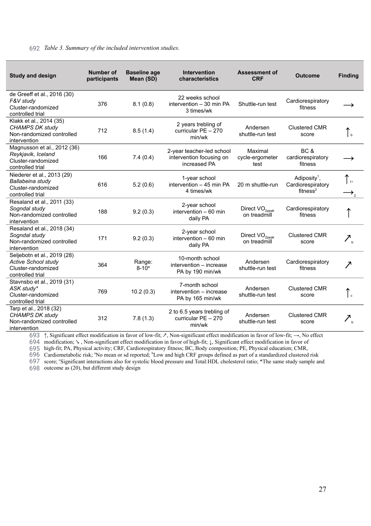### 692 *Table 3. Summary of the included intervention studies.*

| <b>Study and design</b>                                                                             | <b>Number of</b><br>participants | <b>Baseline age</b><br>Mean (SD) | <b>Intervention</b><br>characteristics                                | <b>Assessment of</b><br><b>CRF</b>         | <b>Outcome</b>                                                        | <b>Finding</b>                                 |
|-----------------------------------------------------------------------------------------------------|----------------------------------|----------------------------------|-----------------------------------------------------------------------|--------------------------------------------|-----------------------------------------------------------------------|------------------------------------------------|
| de Greeff et al., 2016 (30)<br>F&V study<br>Cluster-randomized<br>controlled trial                  | 376                              | 8.1(0.8)                         | 22 weeks school<br>intervention - 30 min PA<br>3 times/wk             | Shuttle-run test                           | Cardiorespiratory<br>fitness                                          |                                                |
| Klakk et al., 2014 (35)<br><b>CHAMPS DK study</b><br>Non-randomized controlled<br>intervention      | 712                              | 8.5(1.4)                         | 2 years trebling of<br>curricular PE - 270<br>min/wk                  | Andersen<br>shuttle-run test               | <b>Clustered CMR</b><br>score                                         | $\mathsf{L}_{\mathsf{b}}$                      |
| Magnusson et al., 2012 (36)<br>Reykjavik, Iceland<br>Cluster-randomized<br>controlled trial         | 166                              | 7.4(0.4)                         | 2-year teacher-led school<br>intervention focusing on<br>increased PA | Maximal<br>cycle-ergometer<br>test         | BC &<br>cardiorespiratory<br>fitness                                  |                                                |
| Niederer et al., 2013 (29)<br>Ballabeina study<br>Cluster-randomized<br>controlled trial            | 616                              | 5.2(0.6)                         | 1-year school<br>intervention - 45 min PA<br>4 times/wk               | 20 m shuttle-run                           | Adiposity <sup>1</sup> ,<br>Cardiorespiratory<br>fitness <sup>2</sup> | ۱.,                                            |
| Resaland et al., 2011 (33)<br>Sogndal study<br>Non-randomized controlled<br>intervention            | 188                              | 9.2(0.3)                         | 2-year school<br>intervention $-60$ min<br>daily PA                   | Direct $VO2peak$<br>on treadmill           | Cardiorespiratory<br>fitness                                          |                                                |
| Resaland et al., 2018 (34)<br>Sogndal study<br>Non-randomized controlled<br>intervention            | 171                              | 9.2(0.3)                         | 2-year school<br>intervention $-60$ min<br>daily PA                   | Direct VO <sub>2peak</sub><br>on treadmill | <b>Clustered CMR</b><br>score                                         | $\mathcal{F}_{\scriptscriptstyle{\mathsf{b}}}$ |
| Seljebotn et al., 2019 (28)<br><b>Active School study</b><br>Cluster-randomized<br>controlled trial | 364                              | Range:<br>$8 - 10^a$             | 10-month school<br>intervention - increase<br>PA by 190 min/wk        | Andersen<br>shuttle-run test               | Cardiorespiratory<br>fitness                                          | $\overline{\phantom{a}}$                       |
| Stavnsbo et al., 2019 (31)<br>ASK study*<br>Cluster-randomized<br>controlled trial                  | 769                              | 10.2(0.3)                        | 7-month school<br>intervention - increase<br>PA by 165 min/wk         | Andersen<br>shuttle-run test               | <b>Clustered CMR</b><br>score                                         | $\vert$ c                                      |
| Tarp et al., 2018 (32)<br><b>CHAMPS DK study</b><br>Non-randomized controlled<br>intervention       | 312                              | 7.8(1.3)                         | 2 to 6.5 years trebling of<br>curricular PE - 270<br>min/wk           | Andersen<br>shuttle-run test               | <b>Clustered CMR</b><br>score                                         | $Z_{\rm h}$                                    |

693 ↑, Significant effect modification in favor of low-fit; ↗, Non-significant effect modification in favor of low-fit; →, No effect

694 modification; ↘ , Non-significant effect modification in favor of high-fit; ↓, Significant effect modification in favor of

695 high-fit; PA, Physical activity; CRF, Cardiorespiratory fitness; BC, Body composition; PE, Physical education; CMR,

696 Cardiometabolic risk; "No mean or sd reported; <sup>b</sup>Low and high CRF groups defined as part of a standardized clustered risk

697 score; "Significant interactions also for systolic blood pressure and Total:HDL cholesterol ratio; \*The same study sample and

698 outcome as (20), but different study design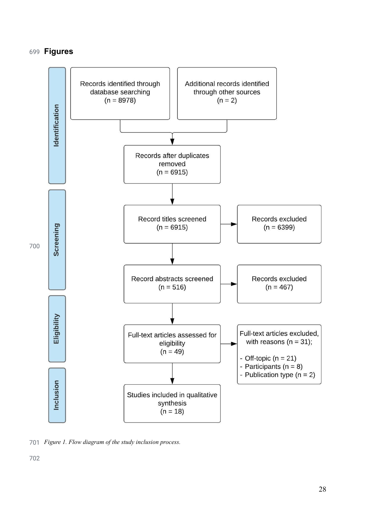## **Figures**



<span id="page-28-0"></span>*Figure 1. Flow diagram of the study inclusion process.*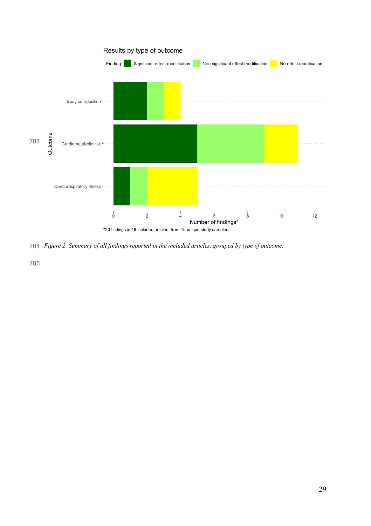

<span id="page-29-0"></span>*Figure 2. Summary of all findings reported in the included articles, grouped by type of outcome.*